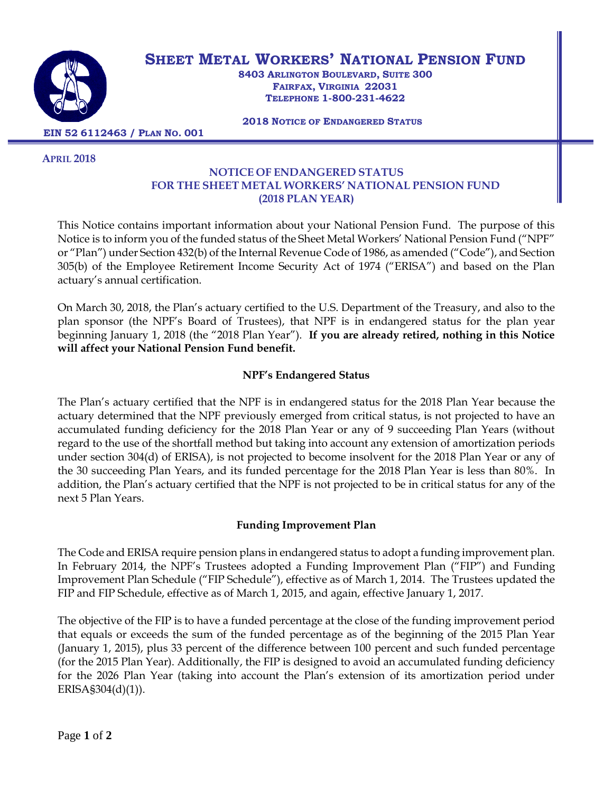

# **SHEET METAL WORKERS' NATIONAL PENSION FUND**

**8403 ARLINGTON BOULEVARD, SUITE 300 FAIRFAX, VIRGINIA 22031 TELEPHONE 1-800-231-4622**

 **2018 NOTICE OF ENDANGERED STATUS** 

 **EIN 52 6112463 / PLAN NO. 001**

 **APRIL 2018**

#### **NOTICE OF ENDANGERED STATUS FOR THE SHEET METAL WORKERS' NATIONAL PENSION FUND (2018 PLAN YEAR)**

This Notice contains important information about your National Pension Fund. The purpose of this Notice is to inform you of the funded status of the Sheet Metal Workers' National Pension Fund ("NPF" or "Plan") under Section 432(b) of the Internal Revenue Code of 1986, as amended ("Code"), and Section 305(b) of the Employee Retirement Income Security Act of 1974 ("ERISA") and based on the Plan actuary's annual certification.

On March 30, 2018, the Plan's actuary certified to the U.S. Department of the Treasury, and also to the plan sponsor (the NPF's Board of Trustees), that NPF is in endangered status for the plan year beginning January 1, 2018 (the "2018 Plan Year"). **If you are already retired, nothing in this Notice will affect your National Pension Fund benefit.** 

## **NPF's Endangered Status**

The Plan's actuary certified that the NPF is in endangered status for the 2018 Plan Year because the actuary determined that the NPF previously emerged from critical status, is not projected to have an accumulated funding deficiency for the 2018 Plan Year or any of 9 succeeding Plan Years (without regard to the use of the shortfall method but taking into account any extension of amortization periods under section 304(d) of ERISA), is not projected to become insolvent for the 2018 Plan Year or any of the 30 succeeding Plan Years, and its funded percentage for the 2018 Plan Year is less than 80%. In addition, the Plan's actuary certified that the NPF is not projected to be in critical status for any of the next 5 Plan Years.

# **Funding Improvement Plan**

The Code and ERISA require pension plans in endangered status to adopt a funding improvement plan. In February 2014, the NPF's Trustees adopted a Funding Improvement Plan ("FIP") and Funding Improvement Plan Schedule ("FIP Schedule"), effective as of March 1, 2014. The Trustees updated the FIP and FIP Schedule, effective as of March 1, 2015, and again, effective January 1, 2017.

The objective of the FIP is to have a funded percentage at the close of the funding improvement period that equals or exceeds the sum of the funded percentage as of the beginning of the 2015 Plan Year (January 1, 2015), plus 33 percent of the difference between 100 percent and such funded percentage (for the 2015 Plan Year). Additionally, the FIP is designed to avoid an accumulated funding deficiency for the 2026 Plan Year (taking into account the Plan's extension of its amortization period under ERISA§304(d)(1)).